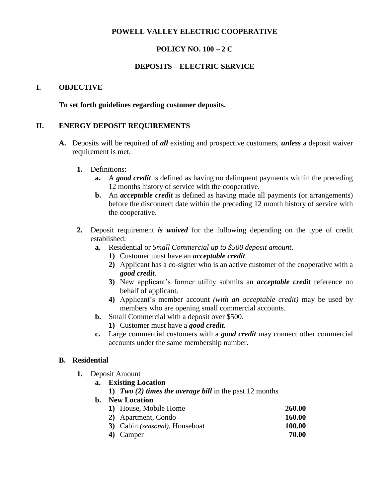# **POWELL VALLEY ELECTRIC COOPERATIVE**

# **POLICY NO. 100 – 2 C**

# **DEPOSITS – ELECTRIC SERVICE**

## **I. OBJECTIVE**

## **To set forth guidelines regarding customer deposits.**

## **II. ENERGY DEPOSIT REQUIREMENTS**

- **A.** Deposits will be required of *all* existing and prospective customers, *unless* a deposit waiver requirement is met.
	- **1.** Definitions:
		- **a.** A *good credit* is defined as having no delinquent payments within the preceding 12 months history of service with the cooperative.
		- **b.** An *acceptable credit* is defined as having made all payments (or arrangements) before the disconnect date within the preceding 12 month history of service with the cooperative.
	- **2.** Deposit requirement *is waived* for the following depending on the type of credit established:
		- **a.** Residential or *Small Commercial up to \$500 deposit amount*.
			- **1)** Customer must have an *acceptable credit*.
			- **2)** Applicant has a co-signer who is an active customer of the cooperative with a *good credit*.
			- **3)** New applicant's former utility submits an *acceptable credit* reference on behalf of applicant.
			- **4)** Applicant's member account *(with an acceptable credit)* may be used by members who are opening small commercial accounts.
		- **b.** Small Commercial with a deposit over \$500.
			- **1)** Customer must have a *good credit*.
		- **c.** Large commercial customers with a *good credit* may connect other commercial accounts under the same membership number.

## **B. Residential**

- **1.** Deposit Amount
	- **a. Existing Location**
		- **1)** *Two (2) times the average bill* in the past 12 months
	- **b. New Location**

| 1) House, Mobile Home                  | <b>260.00</b> |
|----------------------------------------|---------------|
| 2) Apartment, Condo                    | <b>160.00</b> |
| 3) Cabin <i>(seasonal)</i> , Houseboat | 100.00        |
| 4) Camper                              | 70.00         |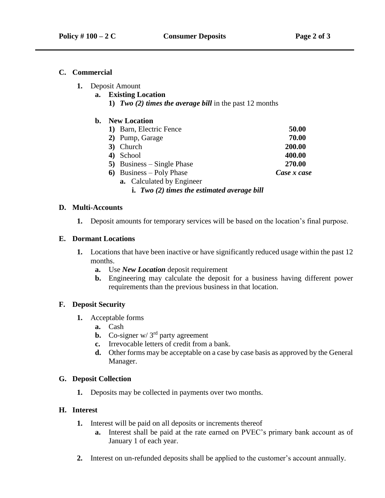## **C. Commercial**

- **1.** Deposit Amount
	- **a. Existing Location**
		- **1)** *Two (2) times the average bill* in the past 12 months

## **b. New Location**

| 1) Barn, Electric Fence                       | 50.00       |
|-----------------------------------------------|-------------|
| 2) Pump, Garage                               | 70.00       |
| 3) Church                                     | 200.00      |
| 4) School                                     | 400.00      |
| 5) Business $-$ Single Phase                  | 270.00      |
| 6) Business – Poly Phase                      | Case x case |
| <b>a.</b> Calculated by Engineer              |             |
| i. Two $(2)$ times the estimated average bill |             |

## **D. Multi-Accounts**

**1.** Deposit amounts for temporary services will be based on the location's final purpose.

#### **E. Dormant Locations**

- **1.** Locations that have been inactive or have significantly reduced usage within the past 12 months.
	- **a.** Use *New Location* deposit requirement
	- **b.** Engineering may calculate the deposit for a business having different power requirements than the previous business in that location.

## **F. Deposit Security**

- **1.** Acceptable forms
	- **a.** Cash
	- **b.** Co-signer w/ 3<sup>rd</sup> party agreement
	- **c.** Irrevocable letters of credit from a bank.
	- **d.** Other forms may be acceptable on a case by case basis as approved by the General Manager.

#### **G. Deposit Collection**

**1.** Deposits may be collected in payments over two months.

# **H. Interest**

- **1.** Interest will be paid on all deposits or increments thereof
	- **a.** Interest shall be paid at the rate earned on PVEC's primary bank account as of January 1 of each year.
- **2.** Interest on un-refunded deposits shall be applied to the customer's account annually.